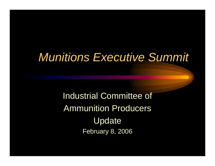### *Munitions Executive Summit*

Industrial Committee of Ammunition Producers Update February 8, 2006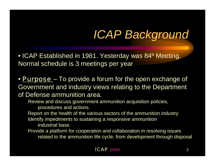## *ICAP Background*

• ICAP Established in 1981. Yesterday was 84h Meeting. Normal schedule is 3 meetings per year

• *Purpose* – To provide a forum for the open exchange of Government and industry views relating to the Department of Defense ammunition area.

Review and discuss government ammunition acquisition policies, procedures and actions.

Report on the health of the various sectors of the ammunition industry Identify impediments to sustaining a responsive ammunition industrial base.

Provide a platform for cooperation and collaboration in resolving issues related to the ammunition life cycle, from development through disposal

#### *ICAP 2006* $\sim$  2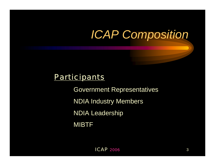# *ICAP Composition*

### *Participants*

Government Representatives NDIA Industry Members NDIA Leadership MIBTF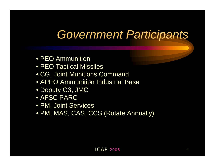### *Government Participants*

- PEO Ammunition
- PEO Tactical Missiles
- CG, Joint Munitions Command
- APEO Ammunition Industrial Base
- Deputy G3, JMC
- AFSC PARC
- PM, Joint Services
- PM, MAS, CAS, CCS (Rotate Annually)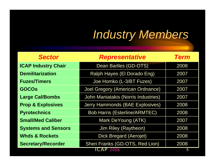## *Industry Members*

| <b>Sector</b>                | <b>Representative</b>                   | <b>Term</b> |
|------------------------------|-----------------------------------------|-------------|
| <b>ICAP Industry Chair</b>   | Dean Bartles (GD-OTS)                   | 2008        |
| <b>Demilitarization</b>      | Ralph Hayes (El Dorado Eng)             | 2007        |
| <b>Fuzes/Timers</b>          | Joe Homko (L-3/BT Fuzes)                | 2007        |
| <b>GOCOS</b>                 | <b>Joel Gregory (American Ordnance)</b> | 2007        |
| <b>Large Cal/Bombs</b>       | John Maniatakis (Norris Industries)     | 2007        |
| <b>Prop &amp; Explosives</b> | <b>Jerry Hammonds (BAE Explosives)</b>  | 2008        |
| <b>Pyrotechnics</b>          | <b>Bob Harris (Esterline/ARMTEC)</b>    | 2008        |
| <b>Small/Med Caliber</b>     | Mark DeYoung (ATK)                      | 2007        |
| <b>Systems and Sensors</b>   | Jim Riley (Raytheon)                    | 2008        |
| <b>Whds &amp; Rockets</b>    | <b>Dick Bregard (Aerojet)</b>           | 2008        |
| <b>Secretary/Recorder</b>    | Sheri Franks (GD-OTS, Red Lion)         | 2008        |
| ICAP 2006                    |                                         | 5           |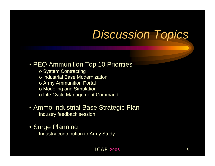### *Discussion Topics*

### • PEO Ammunition Top 10 Priorities

- o System Contracting o Industrial Base Modernization o Army Ammunition Portal
- o Modeling and Simulation
- o Life Cycle Management Command

#### • Ammo Industrial Base Strategic Plan Industry feedback session

• Surge Planning Industry contribution to Army Study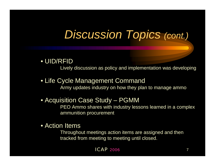## *Discussion Topics (cont.)*

### • UID/RFID

Lively discussion as policy and implementation was developing

#### • Life Cycle Management Command

Army updates industry on how they plan to manage ammo

#### • Acquisition Case Study – PGMM

PEO Ammo shares with industry lessons learned in a complex ammunition procurement

#### • Action Items

Throughout meetings action items are assigned and then tracked from meeting to meeting until closed.

#### *ICAP 2006* $6\,$  7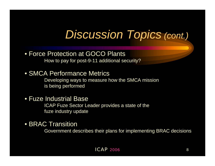### *Discussion Topics (cont.)*

#### • Force Protection at GOCO Plants How to pay for post-9-11 additional security?

#### • SMCA Performance Metrics

Developing ways to measure how the SMCA mission is being performed

#### • Fuze Industrial Base

ICAP Fuze Sector Leader provides a state of the fuze industry update

• BRAC Transition

Government describes their plans for implementing BRAC decisions

#### *ICAP 2006* $\sim$  8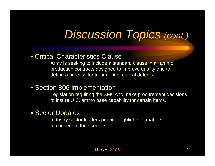### *Discussion Topics (cont.)*

#### • Critical Characteristics Clause

Army is seeking to include a standard clause in all ammo production contracts designed to improve quality and to define a process for treatment of critical defects

• Section 806 Implementation

Legislation requiring the SMCA to make procurement decisions to insure U.S. ammo base capability for certain items.

#### • Sector Updates

Industry sector leaders provide highlights of matters of concern in their sectors